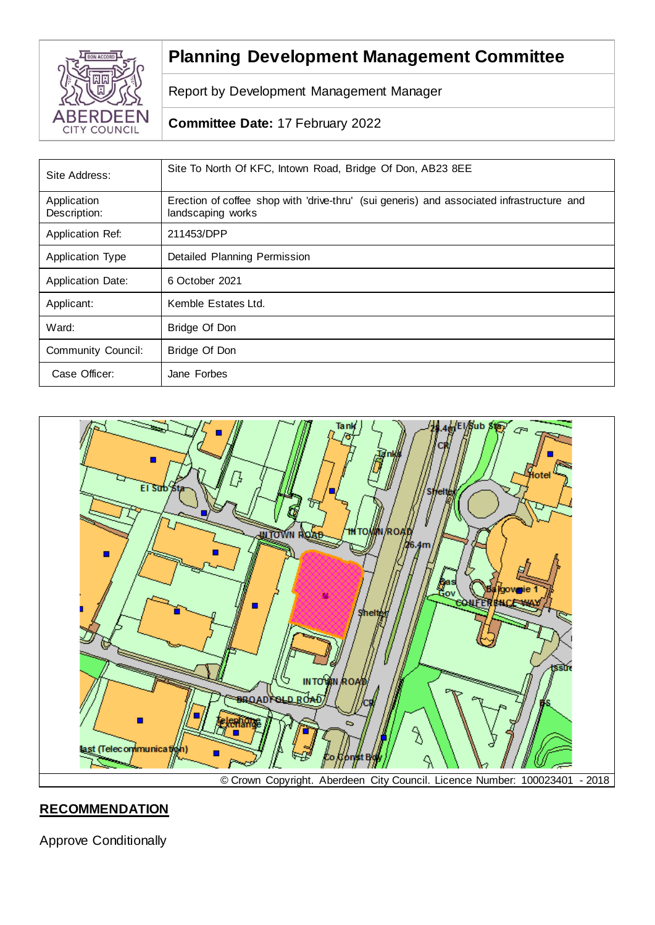

# **Planning Development Management Committee**

Report by Development Management Manager

## **Committee Date:** 17 February 2022

| Site Address:               | Site To North Of KFC, Intown Road, Bridge Of Don, AB23 8EE                                                     |
|-----------------------------|----------------------------------------------------------------------------------------------------------------|
| Application<br>Description: | Erection of coffee shop with 'drive-thru' (sui generis) and associated infrastructure and<br>landscaping works |
| Application Ref:            | 211453/DPP                                                                                                     |
| <b>Application Type</b>     | Detailed Planning Permission                                                                                   |
| <b>Application Date:</b>    | 6 October 2021                                                                                                 |
| Applicant:                  | Kemble Estates Ltd.                                                                                            |
| Ward:                       | Bridge Of Don                                                                                                  |
| Community Council:          | Bridge Of Don                                                                                                  |
| Case Officer:               | Jane Forbes                                                                                                    |



## **RECOMMENDATION**

Approve Conditionally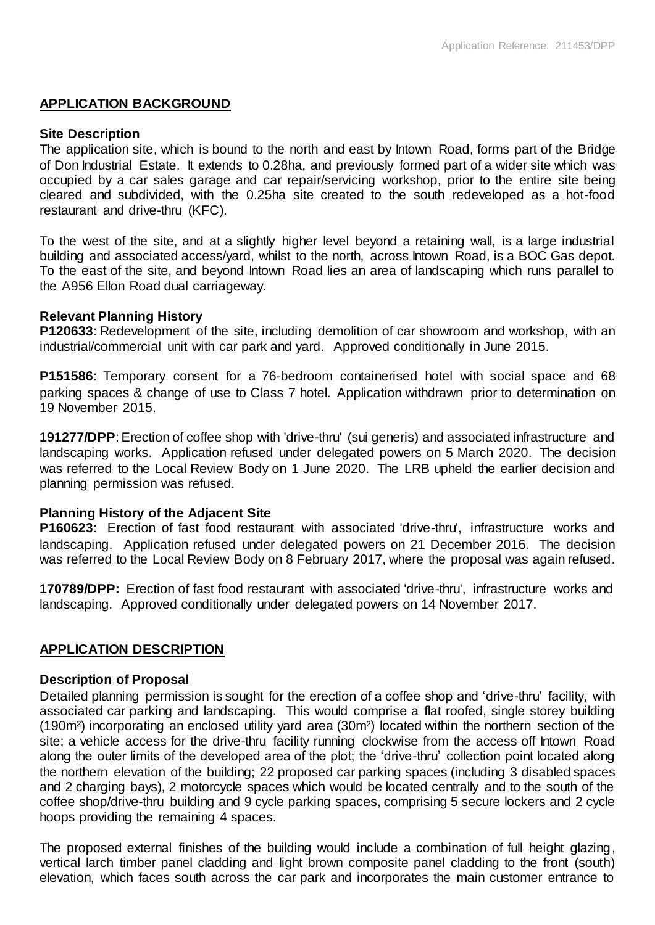#### **APPLICATION BACKGROUND**

#### **Site Description**

The application site, which is bound to the north and east by Intown Road, forms part of the Bridge of Don Industrial Estate. It extends to 0.28ha, and previously formed part of a wider site which was occupied by a car sales garage and car repair/servicing workshop, prior to the entire site being cleared and subdivided, with the 0.25ha site created to the south redeveloped as a hot-food restaurant and drive-thru (KFC).

To the west of the site, and at a slightly higher level beyond a retaining wall, is a large industrial building and associated access/yard, whilst to the north, across Intown Road, is a BOC Gas depot. To the east of the site, and beyond Intown Road lies an area of landscaping which runs parallel to the A956 Ellon Road dual carriageway.

#### **Relevant Planning History**

**P120633**: Redevelopment of the site, including demolition of car showroom and workshop, with an industrial/commercial unit with car park and yard. Approved conditionally in June 2015.

**P151586**: Temporary consent for a 76-bedroom containerised hotel with social space and 68 parking spaces & change of use to Class 7 hotel. Application withdrawn prior to determination on 19 November 2015.

**191277/DPP**: Erection of coffee shop with 'drive-thru' (sui generis) and associated infrastructure and landscaping works. Application refused under delegated powers on 5 March 2020. The decision was referred to the Local Review Body on 1 June 2020. The LRB upheld the earlier decision and planning permission was refused.

#### **Planning History of the Adjacent Site**

**P160623**: Erection of fast food restaurant with associated 'drive-thru', infrastructure works and landscaping. Application refused under delegated powers on 21 December 2016. The decision was referred to the Local Review Body on 8 February 2017, where the proposal was again refused.

**170789/DPP:** Erection of fast food restaurant with associated 'drive-thru', infrastructure works and landscaping. Approved conditionally under delegated powers on 14 November 2017.

#### **APPLICATION DESCRIPTION**

#### **Description of Proposal**

Detailed planning permission is sought for the erection of a coffee shop and 'drive-thru' facility, with associated car parking and landscaping. This would comprise a flat roofed, single storey building (190m²) incorporating an enclosed utility yard area (30m²) located within the northern section of the site; a vehicle access for the drive-thru facility running clockwise from the access off Intown Road along the outer limits of the developed area of the plot; the 'drive-thru' collection point located along the northern elevation of the building; 22 proposed car parking spaces (including 3 disabled spaces and 2 charging bays), 2 motorcycle spaces which would be located centrally and to the south of the coffee shop/drive-thru building and 9 cycle parking spaces, comprising 5 secure lockers and 2 cycle hoops providing the remaining 4 spaces.

The proposed external finishes of the building would include a combination of full height glazing, vertical larch timber panel cladding and light brown composite panel cladding to the front (south) elevation, which faces south across the car park and incorporates the main customer entrance to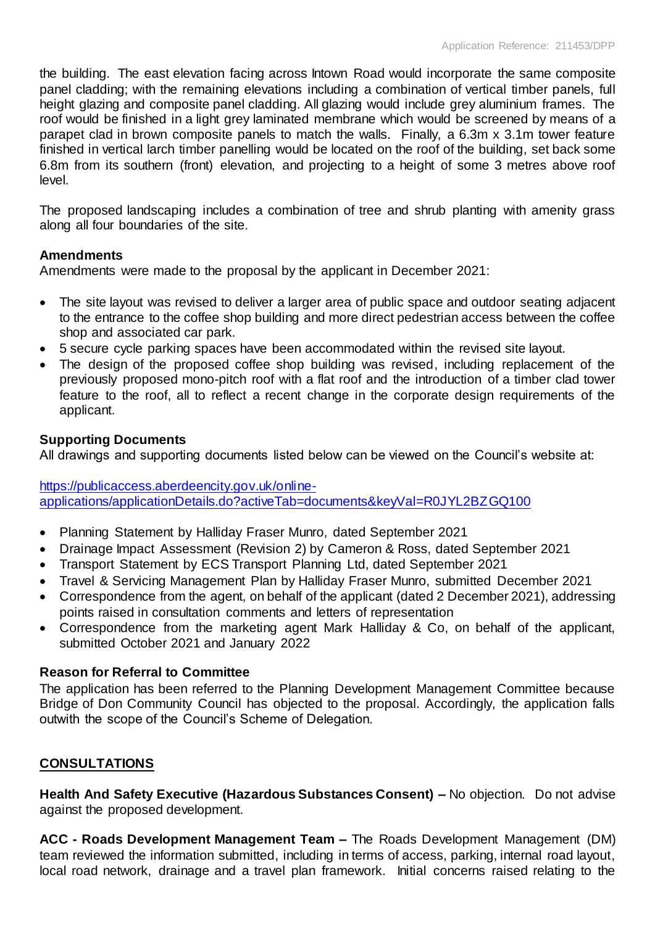the building. The east elevation facing across Intown Road would incorporate the same composite panel cladding; with the remaining elevations including a combination of vertical timber panels, full height glazing and composite panel cladding. All glazing would include grey aluminium frames. The roof would be finished in a light grey laminated membrane which would be screened by means of a parapet clad in brown composite panels to match the walls. Finally, a 6.3m x 3.1m tower feature finished in vertical larch timber panelling would be located on the roof of the building, set back some 6.8m from its southern (front) elevation, and projecting to a height of some 3 metres above roof level.

The proposed landscaping includes a combination of tree and shrub planting with amenity grass along all four boundaries of the site.

## **Amendments**

Amendments were made to the proposal by the applicant in December 2021:

- The site layout was revised to deliver a larger area of public space and outdoor seating adjacent to the entrance to the coffee shop building and more direct pedestrian access between the coffee shop and associated car park.
- 5 secure cycle parking spaces have been accommodated within the revised site layout.
- The design of the proposed coffee shop building was revised, including replacement of the previously proposed mono-pitch roof with a flat roof and the introduction of a timber clad tower feature to the roof, all to reflect a recent change in the corporate design requirements of the applicant.

## **Supporting Documents**

All drawings and supporting documents listed below can be viewed on the Council's website at:

[https://publicaccess.aberdeencity.gov.uk/online](https://publicaccess.aberdeencity.gov.uk/online-applications/applicationDetails.do?activeTab=documents&keyVal=R0JYL2BZGQ100)[applications/applicationDetails.do?activeTab=documents&keyVal=R0JYL2BZGQ100](https://publicaccess.aberdeencity.gov.uk/online-applications/applicationDetails.do?activeTab=documents&keyVal=R0JYL2BZGQ100)

- Planning Statement by Halliday Fraser Munro, dated September 2021
- Drainage Impact Assessment (Revision 2) by Cameron & Ross, dated September 2021
- Transport Statement by ECS Transport Planning Ltd, dated September 2021
- Travel & Servicing Management Plan by Halliday Fraser Munro, submitted December 2021
- Correspondence from the agent, on behalf of the applicant (dated 2 December 2021), addressing points raised in consultation comments and letters of representation
- Correspondence from the marketing agent Mark Halliday & Co, on behalf of the applicant, submitted October 2021 and January 2022

## **Reason for Referral to Committee**

The application has been referred to the Planning Development Management Committee because Bridge of Don Community Council has objected to the proposal. Accordingly, the application falls outwith the scope of the Council's Scheme of Delegation.

## **CONSULTATIONS**

**Health And Safety Executive (Hazardous Substances Consent) –** No objection. Do not advise against the proposed development.

**ACC - Roads Development Management Team –** The Roads Development Management (DM) team reviewed the information submitted, including in terms of access, parking, internal road layout, local road network, drainage and a travel plan framework. Initial concerns raised relating to the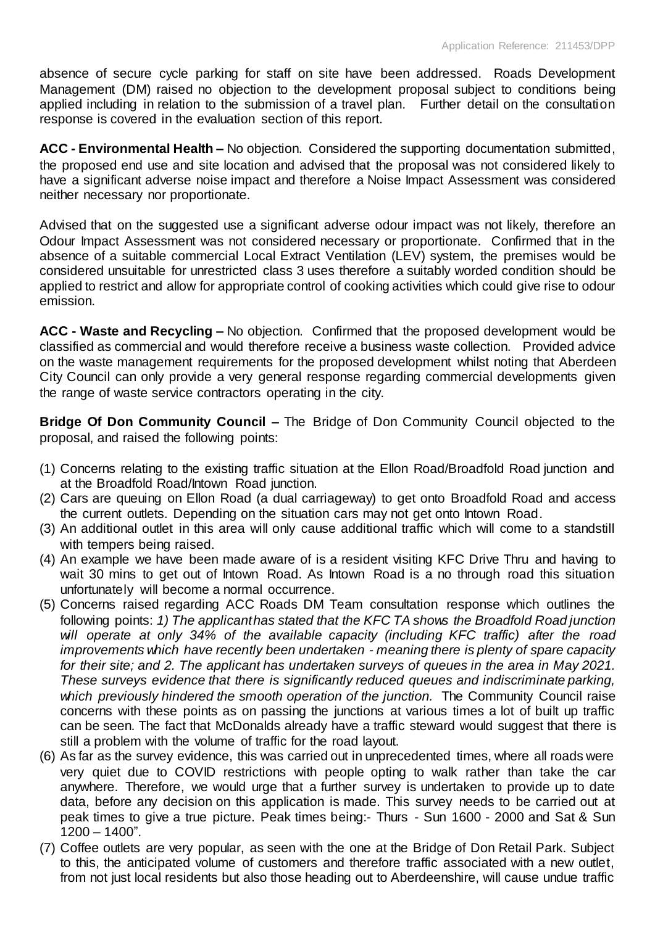absence of secure cycle parking for staff on site have been addressed. Roads Development Management (DM) raised no objection to the development proposal subject to conditions being applied including in relation to the submission of a travel plan. Further detail on the consultation response is covered in the evaluation section of this report.

**ACC - Environmental Health –** No objection. Considered the supporting documentation submitted, the proposed end use and site location and advised that the proposal was not considered likely to have a significant adverse noise impact and therefore a Noise Impact Assessment was considered neither necessary nor proportionate.

Advised that on the suggested use a significant adverse odour impact was not likely, therefore an Odour Impact Assessment was not considered necessary or proportionate. Confirmed that in the absence of a suitable commercial Local Extract Ventilation (LEV) system, the premises would be considered unsuitable for unrestricted class 3 uses therefore a suitably worded condition should be applied to restrict and allow for appropriate control of cooking activities which could give rise to odour emission.

**ACC - Waste and Recycling –** No objection. Confirmed that the proposed development would be classified as commercial and would therefore receive a business waste collection. Provided advice on the waste management requirements for the proposed development whilst noting that Aberdeen City Council can only provide a very general response regarding commercial developments given the range of waste service contractors operating in the city.

**Bridge Of Don Community Council –** The Bridge of Don Community Council objected to the proposal, and raised the following points:

- (1) Concerns relating to the existing traffic situation at the Ellon Road/Broadfold Road junction and at the Broadfold Road/Intown Road junction.
- (2) Cars are queuing on Ellon Road (a dual carriageway) to get onto Broadfold Road and access the current outlets. Depending on the situation cars may not get onto Intown Road.
- (3) An additional outlet in this area will only cause additional traffic which will come to a standstill with tempers being raised.
- (4) An example we have been made aware of is a resident visiting KFC Drive Thru and having to wait 30 mins to get out of Intown Road. As Intown Road is a no through road this situation unfortunately will become a normal occurrence.
- (5) Concerns raised regarding ACC Roads DM Team consultation response which outlines the following points: 1) The applicant has stated that the KFC TA shows the Broadfold Road junction *will operate at only 34% of the available capacity (including KFC traffic) after the road improvements which have recently been undertaken - meaning there is plenty of spare capacity for their site; and 2. The applicant has undertaken surveys of queues in the area in May 2021. These surveys evidence that there is significantly reduced queues and indiscriminate parking, which previously hindered the smooth operation of the junction.* The Community Council raise concerns with these points as on passing the junctions at various times a lot of built up traffic can be seen. The fact that McDonalds already have a traffic steward would suggest that there is still a problem with the volume of traffic for the road layout.
- (6) As far as the survey evidence, this was carried out in unprecedented times, where all roads were very quiet due to COVID restrictions with people opting to walk rather than take the car anywhere. Therefore, we would urge that a further survey is undertaken to provide up to date data, before any decision on this application is made. This survey needs to be carried out at peak times to give a true picture. Peak times being:- Thurs - Sun 1600 - 2000 and Sat & Sun 1200 – 1400".
- (7) Coffee outlets are very popular, as seen with the one at the Bridge of Don Retail Park. Subject to this, the anticipated volume of customers and therefore traffic associated with a new outlet, from not just local residents but also those heading out to Aberdeenshire, will cause undue traffic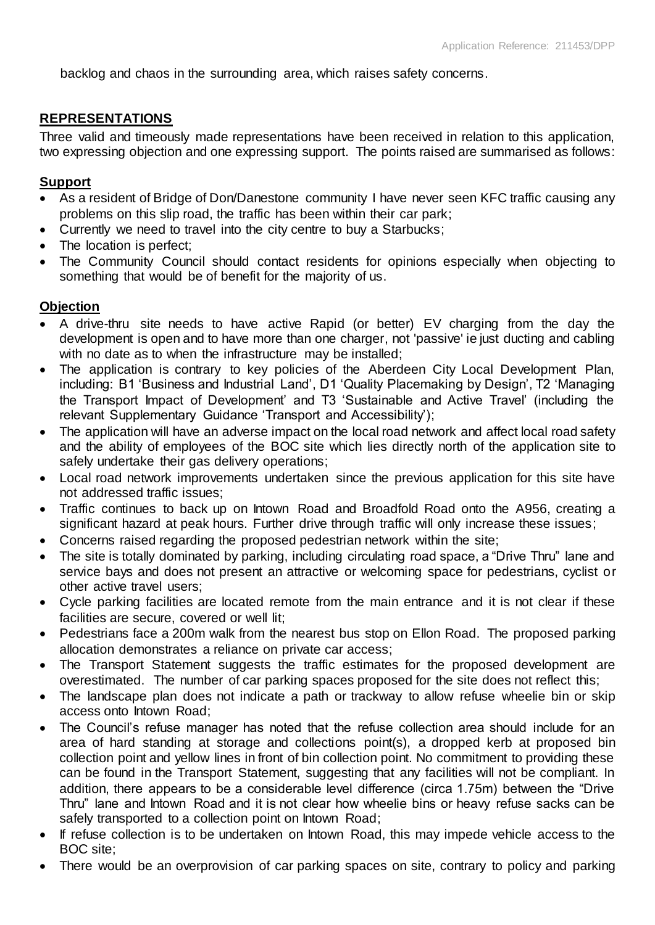backlog and chaos in the surrounding area, which raises safety concerns.

## **REPRESENTATIONS**

Three valid and timeously made representations have been received in relation to this application, two expressing objection and one expressing support. The points raised are summarised as follows:

## **Support**

- As a resident of Bridge of Don/Danestone community I have never seen KFC traffic causing any problems on this slip road, the traffic has been within their car park;
- Currently we need to travel into the city centre to buy a Starbucks;
- The location is perfect;
- The Community Council should contact residents for opinions especially when objecting to something that would be of benefit for the majority of us.

## **Objection**

- A drive-thru site needs to have active Rapid (or better) EV charging from the day the development is open and to have more than one charger, not 'passive' ie just ducting and cabling with no date as to when the infrastructure may be installed;
- The application is contrary to key policies of the Aberdeen City Local Development Plan, including: B1 'Business and Industrial Land', D1 'Quality Placemaking by Design', T2 'Managing the Transport Impact of Development' and T3 'Sustainable and Active Travel' (including the relevant Supplementary Guidance 'Transport and Accessibility');
- The application will have an adverse impact on the local road network and affect local road safety and the ability of employees of the BOC site which lies directly north of the application site to safely undertake their gas delivery operations;
- Local road network improvements undertaken since the previous application for this site have not addressed traffic issues;
- Traffic continues to back up on Intown Road and Broadfold Road onto the A956, creating a significant hazard at peak hours. Further drive through traffic will only increase these issues;
- Concerns raised regarding the proposed pedestrian network within the site;
- The site is totally dominated by parking, including circulating road space, a "Drive Thru" lane and service bays and does not present an attractive or welcoming space for pedestrians, cyclist or other active travel users;
- Cycle parking facilities are located remote from the main entrance and it is not clear if these facilities are secure, covered or well lit;
- Pedestrians face a 200m walk from the nearest bus stop on Ellon Road. The proposed parking allocation demonstrates a reliance on private car access;
- The Transport Statement suggests the traffic estimates for the proposed development are overestimated. The number of car parking spaces proposed for the site does not reflect this;
- The landscape plan does not indicate a path or trackway to allow refuse wheelie bin or skip access onto Intown Road;
- The Council's refuse manager has noted that the refuse collection area should include for an area of hard standing at storage and collections point(s), a dropped kerb at proposed bin collection point and yellow lines in front of bin collection point. No commitment to providing these can be found in the Transport Statement, suggesting that any facilities will not be compliant. In addition, there appears to be a considerable level difference (circa 1.75m) between the "Drive Thru" lane and Intown Road and it is not clear how wheelie bins or heavy refuse sacks can be safely transported to a collection point on Intown Road;
- If refuse collection is to be undertaken on Intown Road, this may impede vehicle access to the BOC site;
- There would be an overprovision of car parking spaces on site, contrary to policy and parking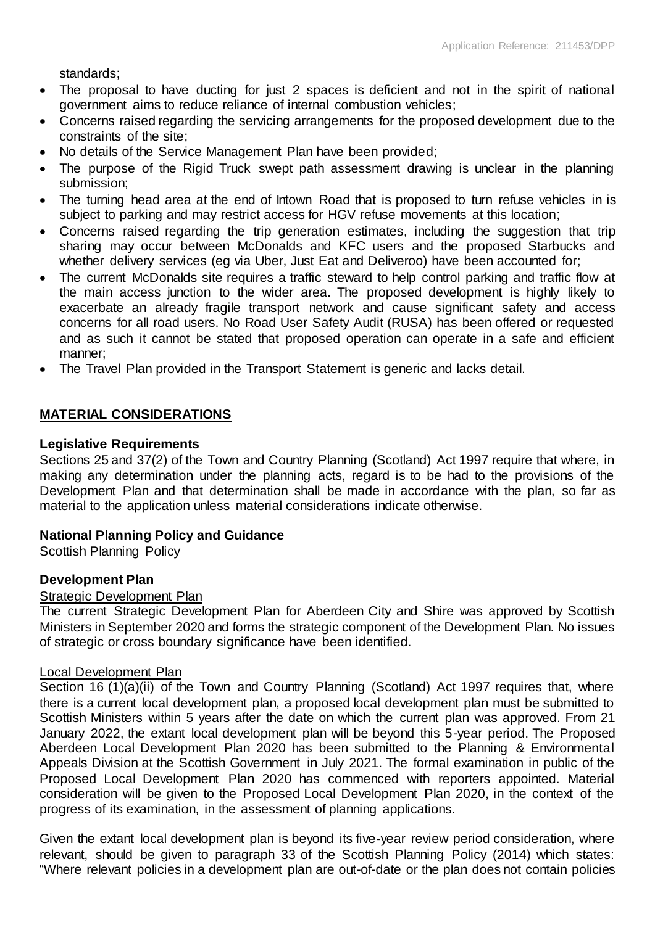standards;

- The proposal to have ducting for just 2 spaces is deficient and not in the spirit of national government aims to reduce reliance of internal combustion vehicles;
- Concerns raised regarding the servicing arrangements for the proposed development due to the constraints of the site;
- No details of the Service Management Plan have been provided;
- The purpose of the Rigid Truck swept path assessment drawing is unclear in the planning submission;
- The turning head area at the end of Intown Road that is proposed to turn refuse vehicles in is subject to parking and may restrict access for HGV refuse movements at this location;
- Concerns raised regarding the trip generation estimates, including the suggestion that trip sharing may occur between McDonalds and KFC users and the proposed Starbucks and whether delivery services (eg via Uber, Just Eat and Deliveroo) have been accounted for;
- The current McDonalds site requires a traffic steward to help control parking and traffic flow at the main access junction to the wider area. The proposed development is highly likely to exacerbate an already fragile transport network and cause significant safety and access concerns for all road users. No Road User Safety Audit (RUSA) has been offered or requested and as such it cannot be stated that proposed operation can operate in a safe and efficient manner;
- The Travel Plan provided in the Transport Statement is generic and lacks detail.

## **MATERIAL CONSIDERATIONS**

### **Legislative Requirements**

Sections 25 and 37(2) of the Town and Country Planning (Scotland) Act 1997 require that where, in making any determination under the planning acts, regard is to be had to the provisions of the Development Plan and that determination shall be made in accordance with the plan, so far as material to the application unless material considerations indicate otherwise.

## **National Planning Policy and Guidance**

Scottish Planning Policy

## **Development Plan**

#### Strategic Development Plan

The current Strategic Development Plan for Aberdeen City and Shire was approved by Scottish Ministers in September 2020 and forms the strategic component of the Development Plan. No issues of strategic or cross boundary significance have been identified.

#### Local Development Plan

Section 16 (1)(a)(ii) of the Town and Country Planning (Scotland) Act 1997 requires that, where there is a current local development plan, a proposed local development plan must be submitted to Scottish Ministers within 5 years after the date on which the current plan was approved. From 21 January 2022, the extant local development plan will be beyond this 5-year period. The Proposed Aberdeen Local Development Plan 2020 has been submitted to the Planning & Environmental Appeals Division at the Scottish Government in July 2021. The formal examination in public of the Proposed Local Development Plan 2020 has commenced with reporters appointed. Material consideration will be given to the Proposed Local Development Plan 2020, in the context of the progress of its examination, in the assessment of planning applications.

Given the extant local development plan is beyond its five-year review period consideration, where relevant, should be given to paragraph 33 of the Scottish Planning Policy (2014) which states: "Where relevant policies in a development plan are out-of-date or the plan does not contain policies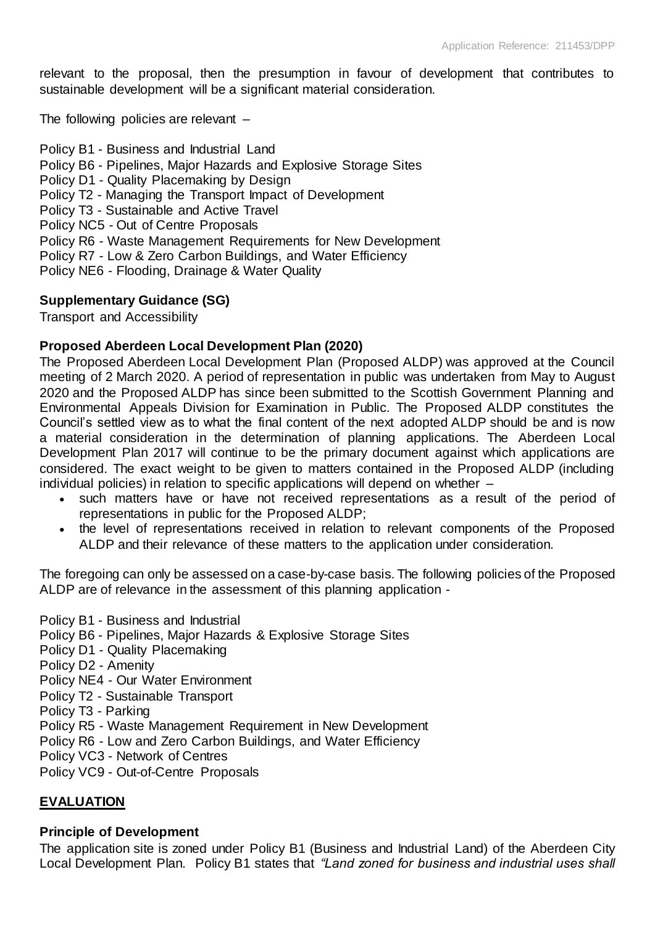relevant to the proposal, then the presumption in favour of development that contributes to sustainable development will be a significant material consideration.

The following policies are relevant –

Policy B1 - Business and Industrial Land Policy B6 - Pipelines, Major Hazards and Explosive Storage Sites Policy D1 - Quality Placemaking by Design Policy T2 - Managing the Transport Impact of Development Policy T3 - Sustainable and Active Travel Policy NC5 - Out of Centre Proposals Policy R6 - Waste Management Requirements for New Development Policy R7 - Low & Zero Carbon Buildings, and Water Efficiency Policy NE6 - Flooding, Drainage & Water Quality

#### **Supplementary Guidance (SG)**

Transport and Accessibility

#### **Proposed Aberdeen Local Development Plan (2020)**

The Proposed Aberdeen Local Development Plan (Proposed ALDP) was approved at the Council meeting of 2 March 2020. A period of representation in public was undertaken from May to August 2020 and the Proposed ALDP has since been submitted to the Scottish Government Planning and Environmental Appeals Division for Examination in Public. The Proposed ALDP constitutes the Council's settled view as to what the final content of the next adopted ALDP should be and is now a material consideration in the determination of planning applications. The Aberdeen Local Development Plan 2017 will continue to be the primary document against which applications are considered. The exact weight to be given to matters contained in the Proposed ALDP (including individual policies) in relation to specific applications will depend on whether –

- such matters have or have not received representations as a result of the period of representations in public for the Proposed ALDP;
- the level of representations received in relation to relevant components of the Proposed ALDP and their relevance of these matters to the application under consideration.

The foregoing can only be assessed on a case-by-case basis. The following policies of the Proposed ALDP are of relevance in the assessment of this planning application -

Policy B1 - Business and Industrial Policy B6 - Pipelines, Major Hazards & Explosive Storage Sites Policy D1 - Quality Placemaking Policy D2 - Amenity Policy NE4 - Our Water Environment Policy T2 - Sustainable Transport Policy T3 - Parking Policy R5 - Waste Management Requirement in New Development Policy R6 - Low and Zero Carbon Buildings, and Water Efficiency Policy VC3 - Network of Centres Policy VC9 - Out-of-Centre Proposals

### **EVALUATION**

#### **Principle of Development**

The application site is zoned under Policy B1 (Business and Industrial Land) of the Aberdeen City Local Development Plan. Policy B1 states that *"Land zoned for business and industrial uses shall*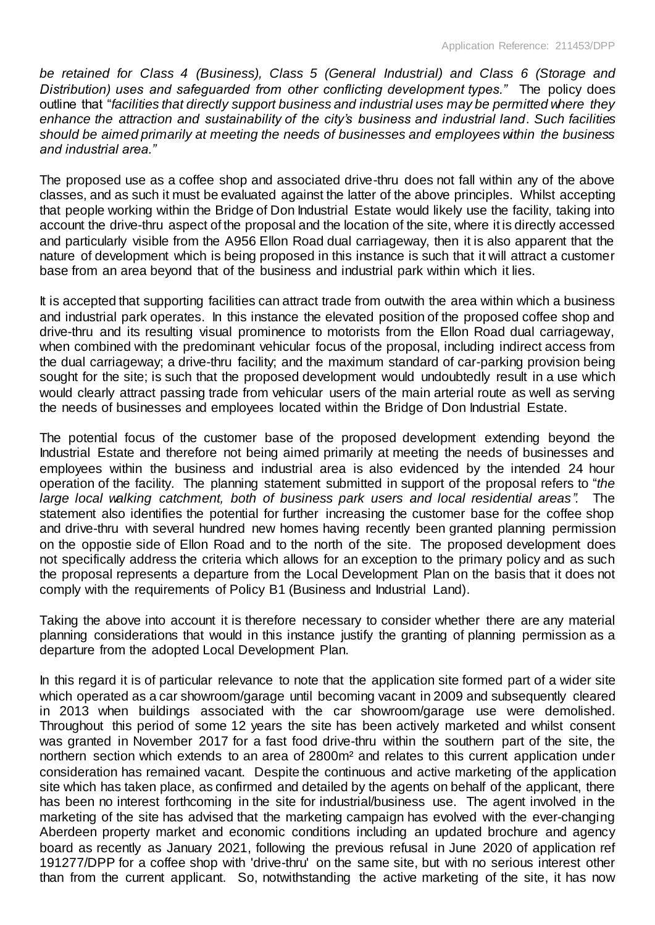*be retained for Class 4 (Business), Class 5 (General Industrial) and Class 6 (Storage and Distribution) uses and safeguarded from other conflicting development types."* The policy does outline that "*facilities that directly support business and industrial uses may be permitted where they enhance the attraction and sustainability of the city's business and industrial land*. *Such facilities should be aimed primarily at meeting the needs of businesses and employees within the business and industrial area."*

The proposed use as a coffee shop and associated drive-thru does not fall within any of the above classes, and as such it must be evaluated against the latter of the above principles. Whilst accepting that people working within the Bridge of Don Industrial Estate would likely use the facility, taking into account the drive-thru aspect of the proposal and the location of the site, where it is directly accessed and particularly visible from the A956 Ellon Road dual carriageway, then it is also apparent that the nature of development which is being proposed in this instance is such that it will attract a customer base from an area beyond that of the business and industrial park within which it lies.

It is accepted that supporting facilities can attract trade from outwith the area within which a business and industrial park operates. In this instance the elevated position of the proposed coffee shop and drive-thru and its resulting visual prominence to motorists from the Ellon Road dual carriageway, when combined with the predominant vehicular focus of the proposal, including indirect access from the dual carriageway; a drive-thru facility; and the maximum standard of car-parking provision being sought for the site; is such that the proposed development would undoubtedly result in a use which would clearly attract passing trade from vehicular users of the main arterial route as well as serving the needs of businesses and employees located within the Bridge of Don Industrial Estate.

The potential focus of the customer base of the proposed development extending beyond the Industrial Estate and therefore not being aimed primarily at meeting the needs of businesses and employees within the business and industrial area is also evidenced by the intended 24 hour operation of the facility. The planning statement submitted in support of the proposal refers to "*the large local walking catchment, both of business park users and local residential areas".* The statement also identifies the potential for further increasing the customer base for the coffee shop and drive-thru with several hundred new homes having recently been granted planning permission on the oppostie side of Ellon Road and to the north of the site. The proposed development does not specifically address the criteria which allows for an exception to the primary policy and as such the proposal represents a departure from the Local Development Plan on the basis that it does not comply with the requirements of Policy B1 (Business and Industrial Land).

Taking the above into account it is therefore necessary to consider whether there are any material planning considerations that would in this instance justify the granting of planning permission as a departure from the adopted Local Development Plan.

In this regard it is of particular relevance to note that the application site formed part of a wider site which operated as a car showroom/garage until becoming vacant in 2009 and subsequently cleared in 2013 when buildings associated with the car showroom/garage use were demolished. Throughout this period of some 12 years the site has been actively marketed and whilst consent was granted in November 2017 for a fast food drive-thru within the southern part of the site, the northern section which extends to an area of 2800m² and relates to this current application under consideration has remained vacant. Despite the continuous and active marketing of the application site which has taken place, as confirmed and detailed by the agents on behalf of the applicant, there has been no interest forthcoming in the site for industrial/business use. The agent involved in the marketing of the site has advised that the marketing campaign has evolved with the ever-changing Aberdeen property market and economic conditions including an updated brochure and agency board as recently as January 2021, following the previous refusal in June 2020 of application ref 191277/DPP for a coffee shop with 'drive-thru' on the same site, but with no serious interest other than from the current applicant. So, notwithstanding the active marketing of the site, it has now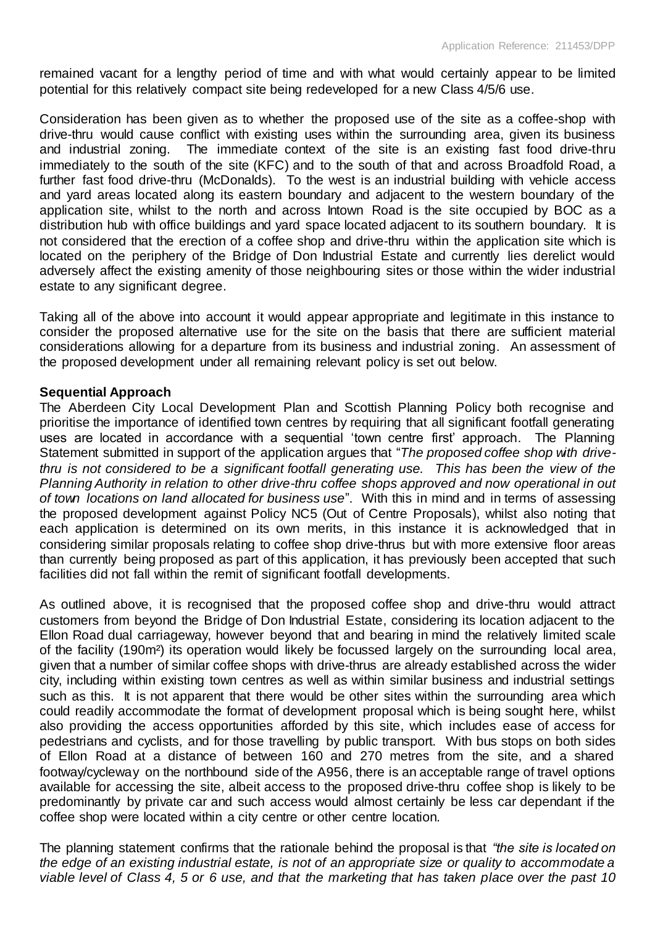remained vacant for a lengthy period of time and with what would certainly appear to be limited potential for this relatively compact site being redeveloped for a new Class 4/5/6 use.

Consideration has been given as to whether the proposed use of the site as a coffee-shop with drive-thru would cause conflict with existing uses within the surrounding area, given its business and industrial zoning. The immediate context of the site is an existing fast food drive-thru immediately to the south of the site (KFC) and to the south of that and across Broadfold Road, a further fast food drive-thru (McDonalds). To the west is an industrial building with vehicle access and yard areas located along its eastern boundary and adjacent to the western boundary of the application site, whilst to the north and across Intown Road is the site occupied by BOC as a distribution hub with office buildings and yard space located adjacent to its southern boundary. It is not considered that the erection of a coffee shop and drive-thru within the application site which is located on the periphery of the Bridge of Don Industrial Estate and currently lies derelict would adversely affect the existing amenity of those neighbouring sites or those within the wider industrial estate to any significant degree.

Taking all of the above into account it would appear appropriate and legitimate in this instance to consider the proposed alternative use for the site on the basis that there are sufficient material considerations allowing for a departure from its business and industrial zoning. An assessment of the proposed development under all remaining relevant policy is set out below.

#### **Sequential Approach**

The Aberdeen City Local Development Plan and Scottish Planning Policy both recognise and prioritise the importance of identified town centres by requiring that all significant footfall generating uses are located in accordance with a sequential 'town centre first' approach. The Planning Statement submitted in support of the application argues that "*The proposed coffee shop with drivethru is not considered to be a significant footfall generating use. This has been the view of the Planning Authority in relation to other drive-thru coffee shops approved and now operational in out of town locations on land allocated for business use*". With this in mind and in terms of assessing the proposed development against Policy NC5 (Out of Centre Proposals), whilst also noting that each application is determined on its own merits, in this instance it is acknowledged that in considering similar proposals relating to coffee shop drive-thrus but with more extensive floor areas than currently being proposed as part of this application, it has previously been accepted that such facilities did not fall within the remit of significant footfall developments.

As outlined above, it is recognised that the proposed coffee shop and drive-thru would attract customers from beyond the Bridge of Don Industrial Estate, considering its location adjacent to the Ellon Road dual carriageway, however beyond that and bearing in mind the relatively limited scale of the facility (190m²) its operation would likely be focussed largely on the surrounding local area, given that a number of similar coffee shops with drive-thrus are already established across the wider city, including within existing town centres as well as within similar business and industrial settings such as this. It is not apparent that there would be other sites within the surrounding area which could readily accommodate the format of development proposal which is being sought here, whilst also providing the access opportunities afforded by this site, which includes ease of access for pedestrians and cyclists, and for those travelling by public transport. With bus stops on both sides of Ellon Road at a distance of between 160 and 270 metres from the site, and a shared footway/cycleway on the northbound side of the A956, there is an acceptable range of travel options available for accessing the site, albeit access to the proposed drive-thru coffee shop is likely to be predominantly by private car and such access would almost certainly be less car dependant if the coffee shop were located within a city centre or other centre location.

The planning statement confirms that the rationale behind the proposal is that *"the site is located on the edge of an existing industrial estate, is not of an appropriate size or quality to accommodate a viable level of Class 4, 5 or 6 use, and that the marketing that has taken place over the past 10*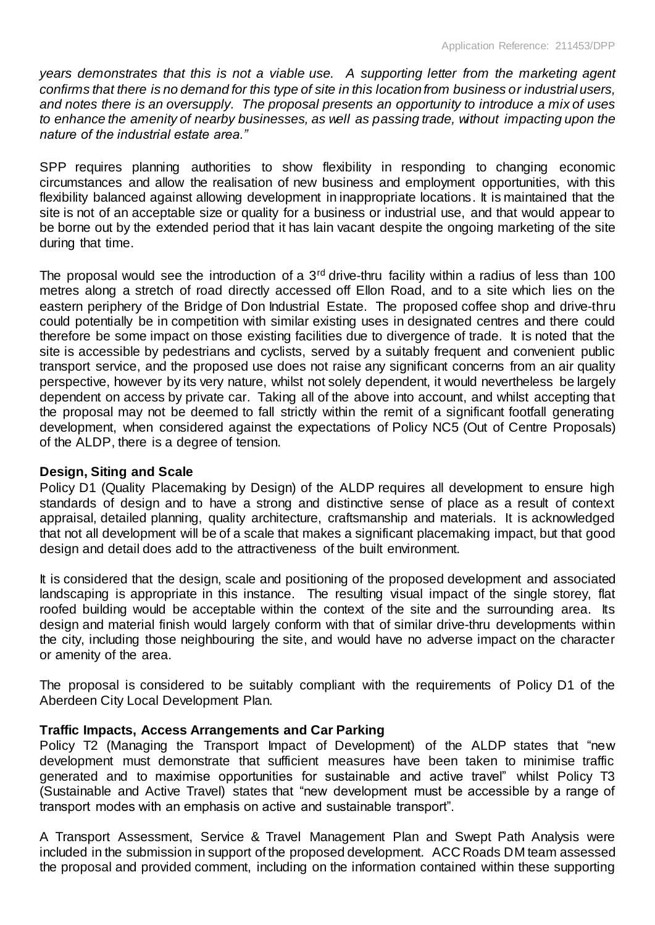*years demonstrates that this is not a viable use. A supporting letter from the marketing agent confirms that there is no demand for this type of site in this location from business or industrial users, and notes there is an oversupply. The proposal presents an opportunity to introduce a mix of uses to enhance the amenity of nearby businesses, as well as passing trade, without impacting upon the nature of the industrial estate area."*

SPP requires planning authorities to show flexibility in responding to changing economic circumstances and allow the realisation of new business and employment opportunities, with this flexibility balanced against allowing development in inappropriate locations. It is maintained that the site is not of an acceptable size or quality for a business or industrial use, and that would appear to be borne out by the extended period that it has lain vacant despite the ongoing marketing of the site during that time.

The proposal would see the introduction of a 3<sup>rd</sup> drive-thru facility within a radius of less than 100 metres along a stretch of road directly accessed off Ellon Road, and to a site which lies on the eastern periphery of the Bridge of Don Industrial Estate. The proposed coffee shop and drive-thru could potentially be in competition with similar existing uses in designated centres and there could therefore be some impact on those existing facilities due to divergence of trade. It is noted that the site is accessible by pedestrians and cyclists, served by a suitably frequent and convenient public transport service, and the proposed use does not raise any significant concerns from an air quality perspective, however by its very nature, whilst not solely dependent, it would nevertheless be largely dependent on access by private car. Taking all of the above into account, and whilst accepting that the proposal may not be deemed to fall strictly within the remit of a significant footfall generating development, when considered against the expectations of Policy NC5 (Out of Centre Proposals) of the ALDP, there is a degree of tension.

## **Design, Siting and Scale**

Policy D1 (Quality Placemaking by Design) of the ALDP requires all development to ensure high standards of design and to have a strong and distinctive sense of place as a result of context appraisal, detailed planning, quality architecture, craftsmanship and materials. It is acknowledged that not all development will be of a scale that makes a significant placemaking impact, but that good design and detail does add to the attractiveness of the built environment.

It is considered that the design, scale and positioning of the proposed development and associated landscaping is appropriate in this instance. The resulting visual impact of the single storey, flat roofed building would be acceptable within the context of the site and the surrounding area. Its design and material finish would largely conform with that of similar drive-thru developments within the city, including those neighbouring the site, and would have no adverse impact on the character or amenity of the area.

The proposal is considered to be suitably compliant with the requirements of Policy D1 of the Aberdeen City Local Development Plan.

## **Traffic Impacts, Access Arrangements and Car Parking**

Policy T2 (Managing the Transport Impact of Development) of the ALDP states that "new development must demonstrate that sufficient measures have been taken to minimise traffic generated and to maximise opportunities for sustainable and active travel" whilst Policy T3 (Sustainable and Active Travel) states that "new development must be accessible by a range of transport modes with an emphasis on active and sustainable transport".

A Transport Assessment, Service & Travel Management Plan and Swept Path Analysis were included in the submission in support of the proposed development. ACC Roads DM team assessed the proposal and provided comment, including on the information contained within these supporting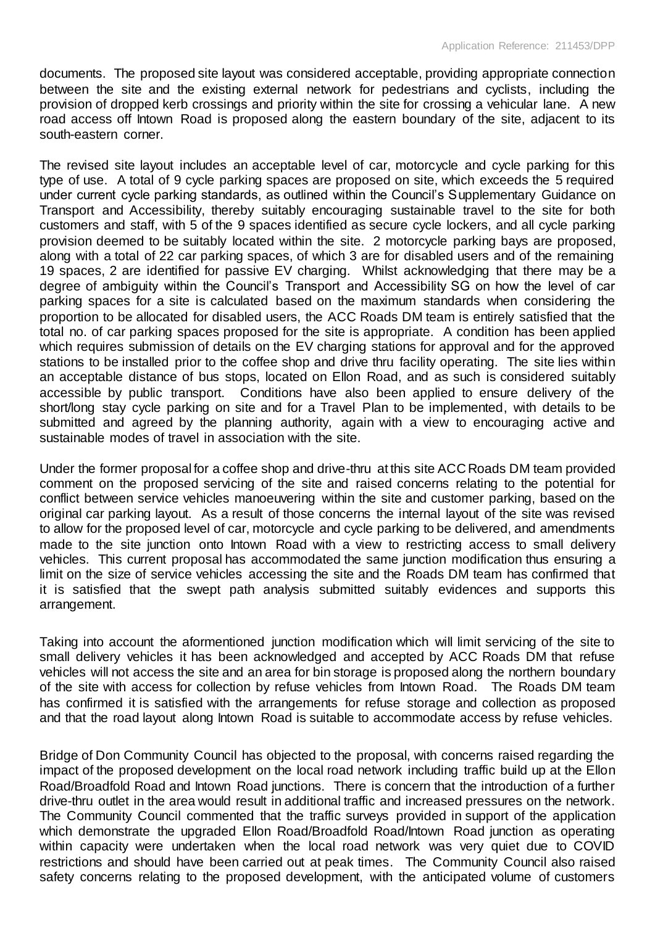documents. The proposed site layout was considered acceptable, providing appropriate connection between the site and the existing external network for pedestrians and cyclists, including the provision of dropped kerb crossings and priority within the site for crossing a vehicular lane. A new road access off Intown Road is proposed along the eastern boundary of the site, adjacent to its south-eastern corner.

The revised site layout includes an acceptable level of car, motorcycle and cycle parking for this type of use. A total of 9 cycle parking spaces are proposed on site, which exceeds the 5 required under current cycle parking standards, as outlined within the Council's Supplementary Guidance on Transport and Accessibility, thereby suitably encouraging sustainable travel to the site for both customers and staff, with 5 of the 9 spaces identified as secure cycle lockers, and all cycle parking provision deemed to be suitably located within the site. 2 motorcycle parking bays are proposed, along with a total of 22 car parking spaces, of which 3 are for disabled users and of the remaining 19 spaces, 2 are identified for passive EV charging. Whilst acknowledging that there may be a degree of ambiguity within the Council's Transport and Accessibility SG on how the level of car parking spaces for a site is calculated based on the maximum standards when considering the proportion to be allocated for disabled users, the ACC Roads DM team is entirely satisfied that the total no. of car parking spaces proposed for the site is appropriate. A condition has been applied which requires submission of details on the EV charging stations for approval and for the approved stations to be installed prior to the coffee shop and drive thru facility operating. The site lies within an acceptable distance of bus stops, located on Ellon Road, and as such is considered suitably accessible by public transport. Conditions have also been applied to ensure delivery of the short/long stay cycle parking on site and for a Travel Plan to be implemented, with details to be submitted and agreed by the planning authority, again with a view to encouraging active and sustainable modes of travel in association with the site.

Under the former proposal for a coffee shop and drive-thru at this site ACC Roads DM team provided comment on the proposed servicing of the site and raised concerns relating to the potential for conflict between service vehicles manoeuvering within the site and customer parking, based on the original car parking layout. As a result of those concerns the internal layout of the site was revised to allow for the proposed level of car, motorcycle and cycle parking to be delivered, and amendments made to the site junction onto Intown Road with a view to restricting access to small delivery vehicles. This current proposal has accommodated the same junction modification thus ensuring a limit on the size of service vehicles accessing the site and the Roads DM team has confirmed that it is satisfied that the swept path analysis submitted suitably evidences and supports this arrangement.

Taking into account the aformentioned junction modification which will limit servicing of the site to small delivery vehicles it has been acknowledged and accepted by ACC Roads DM that refuse vehicles will not access the site and an area for bin storage is proposed along the northern boundary of the site with access for collection by refuse vehicles from Intown Road. The Roads DM team has confirmed it is satisfied with the arrangements for refuse storage and collection as proposed and that the road layout along Intown Road is suitable to accommodate access by refuse vehicles.

Bridge of Don Community Council has objected to the proposal, with concerns raised regarding the impact of the proposed development on the local road network including traffic build up at the Ellon Road/Broadfold Road and Intown Road junctions. There is concern that the introduction of a further drive-thru outlet in the area would result in additional traffic and increased pressures on the network. The Community Council commented that the traffic surveys provided in support of the application which demonstrate the upgraded Ellon Road/Broadfold Road/Intown Road junction as operating within capacity were undertaken when the local road network was very quiet due to COVID restrictions and should have been carried out at peak times. The Community Council also raised safety concerns relating to the proposed development, with the anticipated volume of customers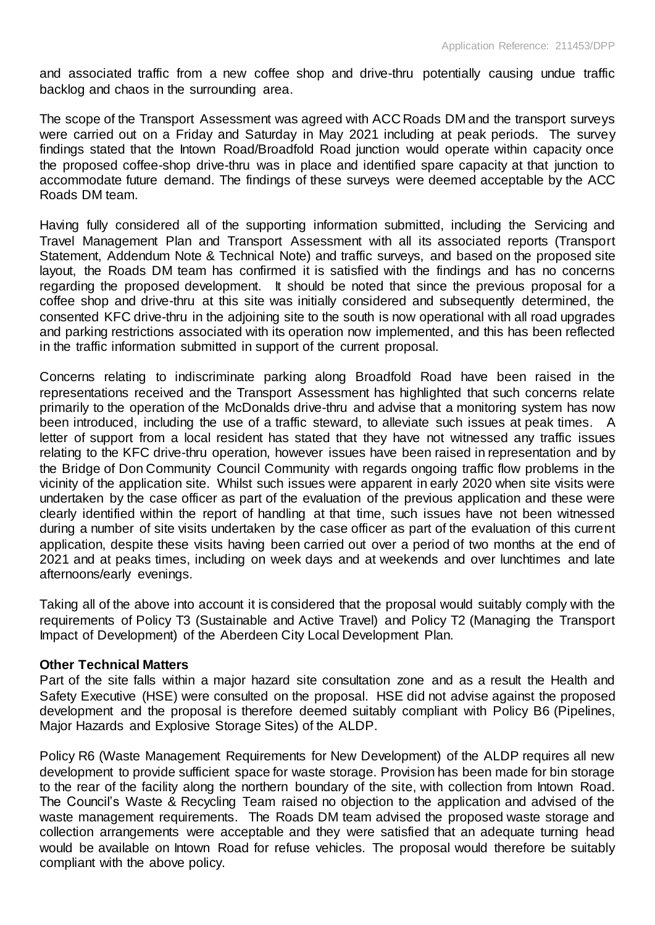and associated traffic from a new coffee shop and drive-thru potentially causing undue traffic backlog and chaos in the surrounding area.

The scope of the Transport Assessment was agreed with ACC Roads DM and the transport surveys were carried out on a Friday and Saturday in May 2021 including at peak periods. The survey findings stated that the Intown Road/Broadfold Road junction would operate within capacity once the proposed coffee-shop drive-thru was in place and identified spare capacity at that junction to accommodate future demand. The findings of these surveys were deemed acceptable by the ACC Roads DM team.

Having fully considered all of the supporting information submitted, including the Servicing and Travel Management Plan and Transport Assessment with all its associated reports (Transport Statement, Addendum Note & Technical Note) and traffic surveys, and based on the proposed site layout, the Roads DM team has confirmed it is satisfied with the findings and has no concerns regarding the proposed development. It should be noted that since the previous proposal for a coffee shop and drive-thru at this site was initially considered and subsequently determined, the consented KFC drive-thru in the adjoining site to the south is now operational with all road upgrades and parking restrictions associated with its operation now implemented, and this has been reflected in the traffic information submitted in support of the current proposal.

Concerns relating to indiscriminate parking along Broadfold Road have been raised in the representations received and the Transport Assessment has highlighted that such concerns relate primarily to the operation of the McDonalds drive-thru and advise that a monitoring system has now been introduced, including the use of a traffic steward, to alleviate such issues at peak times. A letter of support from a local resident has stated that they have not witnessed any traffic issues relating to the KFC drive-thru operation, however issues have been raised in representation and by the Bridge of Don Community Council Community with regards ongoing traffic flow problems in the vicinity of the application site. Whilst such issues were apparent in early 2020 when site visits were undertaken by the case officer as part of the evaluation of the previous application and these were clearly identified within the report of handling at that time, such issues have not been witnessed during a number of site visits undertaken by the case officer as part of the evaluation of this current application, despite these visits having been carried out over a period of two months at the end of 2021 and at peaks times, including on week days and at weekends and over lunchtimes and late afternoons/early evenings.

Taking all of the above into account it is considered that the proposal would suitably comply with the requirements of Policy T3 (Sustainable and Active Travel) and Policy T2 (Managing the Transport Impact of Development) of the Aberdeen City Local Development Plan.

#### **Other Technical Matters**

Part of the site falls within a major hazard site consultation zone and as a result the Health and Safety Executive (HSE) were consulted on the proposal. HSE did not advise against the proposed development and the proposal is therefore deemed suitably compliant with Policy B6 (Pipelines, Major Hazards and Explosive Storage Sites) of the ALDP.

Policy R6 (Waste Management Requirements for New Development) of the ALDP requires all new development to provide sufficient space for waste storage. Provision has been made for bin storage to the rear of the facility along the northern boundary of the site, with collection from Intown Road. The Council's Waste & Recycling Team raised no objection to the application and advised of the waste management requirements. The Roads DM team advised the proposed waste storage and collection arrangements were acceptable and they were satisfied that an adequate turning head would be available on Intown Road for refuse vehicles. The proposal would therefore be suitably compliant with the above policy.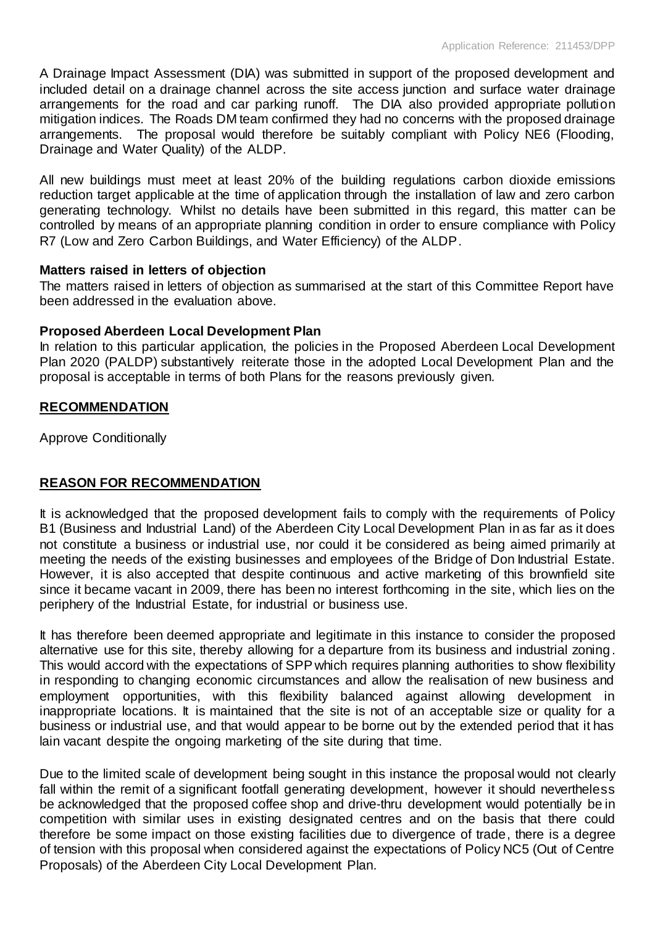A Drainage Impact Assessment (DIA) was submitted in support of the proposed development and included detail on a drainage channel across the site access junction and surface water drainage arrangements for the road and car parking runoff. The DIA also provided appropriate pollution mitigation indices. The Roads DM team confirmed they had no concerns with the proposed drainage arrangements. The proposal would therefore be suitably compliant with Policy NE6 (Flooding, Drainage and Water Quality) of the ALDP.

All new buildings must meet at least 20% of the building regulations carbon dioxide emissions reduction target applicable at the time of application through the installation of law and zero carbon generating technology. Whilst no details have been submitted in this regard, this matter can be controlled by means of an appropriate planning condition in order to ensure compliance with Policy R7 (Low and Zero Carbon Buildings, and Water Efficiency) of the ALDP.

### **Matters raised in letters of objection**

The matters raised in letters of objection as summarised at the start of this Committee Report have been addressed in the evaluation above.

### **Proposed Aberdeen Local Development Plan**

In relation to this particular application, the policies in the Proposed Aberdeen Local Development Plan 2020 (PALDP) substantively reiterate those in the adopted Local Development Plan and the proposal is acceptable in terms of both Plans for the reasons previously given.

### **RECOMMENDATION**

Approve Conditionally

## **REASON FOR RECOMMENDATION**

It is acknowledged that the proposed development fails to comply with the requirements of Policy B1 (Business and Industrial Land) of the Aberdeen City Local Development Plan in as far as it does not constitute a business or industrial use, nor could it be considered as being aimed primarily at meeting the needs of the existing businesses and employees of the Bridge of Don Industrial Estate. However, it is also accepted that despite continuous and active marketing of this brownfield site since it became vacant in 2009, there has been no interest forthcoming in the site, which lies on the periphery of the Industrial Estate, for industrial or business use.

It has therefore been deemed appropriate and legitimate in this instance to consider the proposed alternative use for this site, thereby allowing for a departure from its business and industrial zoning. This would accord with the expectations of SPP which requires planning authorities to show flexibility in responding to changing economic circumstances and allow the realisation of new business and employment opportunities, with this flexibility balanced against allowing development in inappropriate locations. It is maintained that the site is not of an acceptable size or quality for a business or industrial use, and that would appear to be borne out by the extended period that it has lain vacant despite the ongoing marketing of the site during that time.

Due to the limited scale of development being sought in this instance the proposal would not clearly fall within the remit of a significant footfall generating development, however it should nevertheless be acknowledged that the proposed coffee shop and drive-thru development would potentially be in competition with similar uses in existing designated centres and on the basis that there could therefore be some impact on those existing facilities due to divergence of trade, there is a degree of tension with this proposal when considered against the expectations of Policy NC5 (Out of Centre Proposals) of the Aberdeen City Local Development Plan.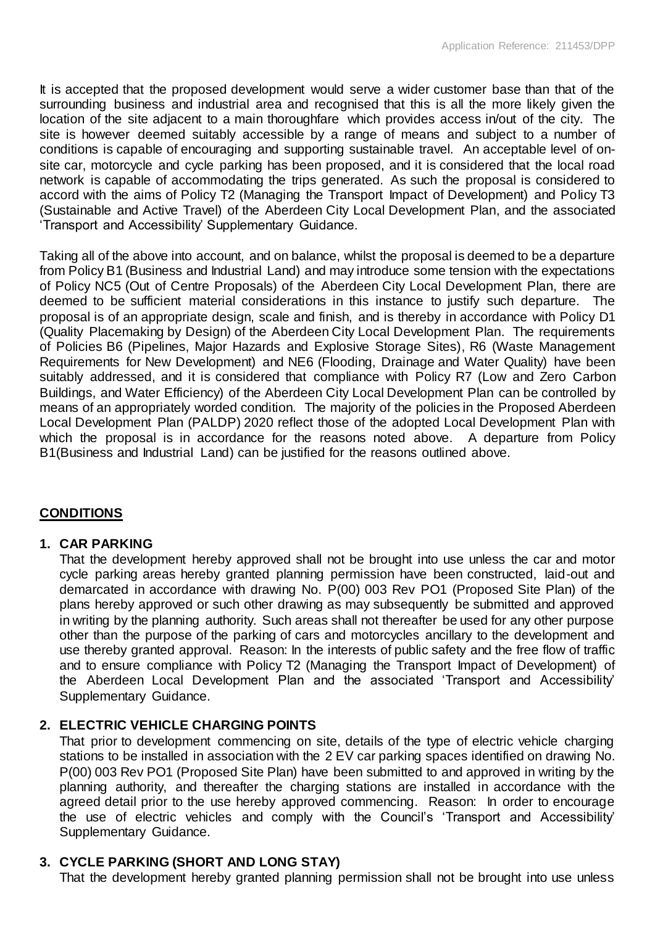It is accepted that the proposed development would serve a wider customer base than that of the surrounding business and industrial area and recognised that this is all the more likely given the location of the site adjacent to a main thoroughfare which provides access in/out of the city. The site is however deemed suitably accessible by a range of means and subject to a number of conditions is capable of encouraging and supporting sustainable travel. An acceptable level of onsite car, motorcycle and cycle parking has been proposed, and it is considered that the local road network is capable of accommodating the trips generated. As such the proposal is considered to accord with the aims of Policy T2 (Managing the Transport Impact of Development) and Policy T3 (Sustainable and Active Travel) of the Aberdeen City Local Development Plan, and the associated 'Transport and Accessibility' Supplementary Guidance.

Taking all of the above into account, and on balance, whilst the proposal is deemed to be a departure from Policy B1 (Business and Industrial Land) and may introduce some tension with the expectations of Policy NC5 (Out of Centre Proposals) of the Aberdeen City Local Development Plan, there are deemed to be sufficient material considerations in this instance to justify such departure. The proposal is of an appropriate design, scale and finish, and is thereby in accordance with Policy D1 (Quality Placemaking by Design) of the Aberdeen City Local Development Plan. The requirements of Policies B6 (Pipelines, Major Hazards and Explosive Storage Sites), R6 (Waste Management Requirements for New Development) and NE6 (Flooding, Drainage and Water Quality) have been suitably addressed, and it is considered that compliance with Policy R7 (Low and Zero Carbon Buildings, and Water Efficiency) of the Aberdeen City Local Development Plan can be controlled by means of an appropriately worded condition. The majority of the policies in the Proposed Aberdeen Local Development Plan (PALDP) 2020 reflect those of the adopted Local Development Plan with which the proposal is in accordance for the reasons noted above. A departure from Policy B1(Business and Industrial Land) can be justified for the reasons outlined above.

## **CONDITIONS**

## **1. CAR PARKING**

That the development hereby approved shall not be brought into use unless the car and motor cycle parking areas hereby granted planning permission have been constructed, laid-out and demarcated in accordance with drawing No. P(00) 003 Rev PO1 (Proposed Site Plan) of the plans hereby approved or such other drawing as may subsequently be submitted and approved in writing by the planning authority. Such areas shall not thereafter be used for any other purpose other than the purpose of the parking of cars and motorcycles ancillary to the development and use thereby granted approval. Reason: In the interests of public safety and the free flow of traffic and to ensure compliance with Policy T2 (Managing the Transport Impact of Development) of the Aberdeen Local Development Plan and the associated 'Transport and Accessibility' Supplementary Guidance.

## **2. ELECTRIC VEHICLE CHARGING POINTS**

That prior to development commencing on site, details of the type of electric vehicle charging stations to be installed in association with the 2 EV car parking spaces identified on drawing No. P(00) 003 Rev PO1 (Proposed Site Plan) have been submitted to and approved in writing by the planning authority, and thereafter the charging stations are installed in accordance with the agreed detail prior to the use hereby approved commencing. Reason: In order to encourage the use of electric vehicles and comply with the Council's 'Transport and Accessibility' Supplementary Guidance.

## **3. CYCLE PARKING (SHORT AND LONG STAY)**

That the development hereby granted planning permission shall not be brought into use unless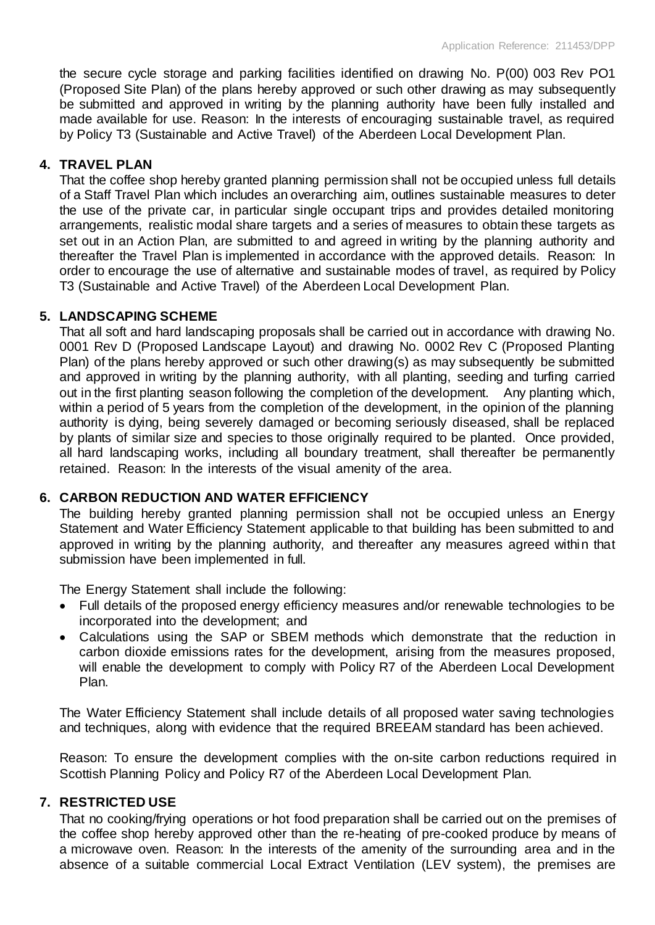the secure cycle storage and parking facilities identified on drawing No. P(00) 003 Rev PO1 (Proposed Site Plan) of the plans hereby approved or such other drawing as may subsequently be submitted and approved in writing by the planning authority have been fully installed and made available for use. Reason: In the interests of encouraging sustainable travel, as required by Policy T3 (Sustainable and Active Travel) of the Aberdeen Local Development Plan.

### **4. TRAVEL PLAN**

That the coffee shop hereby granted planning permission shall not be occupied unless full details of a Staff Travel Plan which includes an overarching aim, outlines sustainable measures to deter the use of the private car, in particular single occupant trips and provides detailed monitoring arrangements, realistic modal share targets and a series of measures to obtain these targets as set out in an Action Plan, are submitted to and agreed in writing by the planning authority and thereafter the Travel Plan is implemented in accordance with the approved details. Reason: In order to encourage the use of alternative and sustainable modes of travel, as required by Policy T3 (Sustainable and Active Travel) of the Aberdeen Local Development Plan.

### **5. LANDSCAPING SCHEME**

That all soft and hard landscaping proposals shall be carried out in accordance with drawing No. 0001 Rev D (Proposed Landscape Layout) and drawing No. 0002 Rev C (Proposed Planting Plan) of the plans hereby approved or such other drawing(s) as may subsequently be submitted and approved in writing by the planning authority, with all planting, seeding and turfing carried out in the first planting season following the completion of the development. Any planting which, within a period of 5 years from the completion of the development, in the opinion of the planning authority is dying, being severely damaged or becoming seriously diseased, shall be replaced by plants of similar size and species to those originally required to be planted. Once provided, all hard landscaping works, including all boundary treatment, shall thereafter be permanently retained. Reason: In the interests of the visual amenity of the area.

## **6. CARBON REDUCTION AND WATER EFFICIENCY**

The building hereby granted planning permission shall not be occupied unless an Energy Statement and Water Efficiency Statement applicable to that building has been submitted to and approved in writing by the planning authority, and thereafter any measures agreed within that submission have been implemented in full.

The Energy Statement shall include the following:

- Full details of the proposed energy efficiency measures and/or renewable technologies to be incorporated into the development; and
- Calculations using the SAP or SBEM methods which demonstrate that the reduction in carbon dioxide emissions rates for the development, arising from the measures proposed, will enable the development to comply with Policy R7 of the Aberdeen Local Development Plan.

The Water Efficiency Statement shall include details of all proposed water saving technologies and techniques, along with evidence that the required BREEAM standard has been achieved.

Reason: To ensure the development complies with the on-site carbon reductions required in Scottish Planning Policy and Policy R7 of the Aberdeen Local Development Plan.

#### **7. RESTRICTED USE**

That no cooking/frying operations or hot food preparation shall be carried out on the premises of the coffee shop hereby approved other than the re-heating of pre-cooked produce by means of a microwave oven. Reason: In the interests of the amenity of the surrounding area and in the absence of a suitable commercial Local Extract Ventilation (LEV system), the premises are